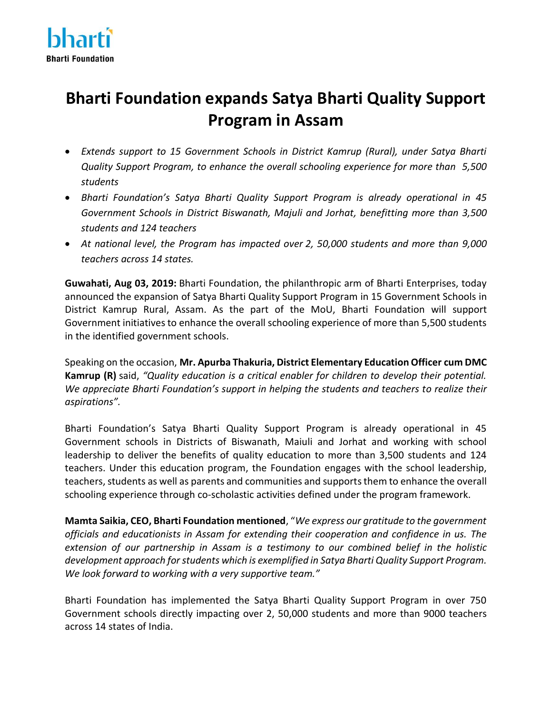

## **Bharti Foundation expands Satya Bharti Quality Support Program in Assam**

- *Extends support to 15 Government Schools in District Kamrup (Rural), under Satya Bharti Quality Support Program, to enhance the overall schooling experience for more than 5,500 students*
- *Bharti Foundation's Satya Bharti Quality Support Program is already operational in 45 Government Schools in District Biswanath, Majuli and Jorhat, benefitting more than 3,500 students and 124 teachers*
- *At national level, the Program has impacted over 2, 50,000 students and more than 9,000 teachers across 14 states.*

**Guwahati, Aug 03, 2019:** Bharti Foundation, the philanthropic arm of Bharti Enterprises, today announced the expansion of Satya Bharti Quality Support Program in 15 Government Schools in District Kamrup Rural, Assam. As the part of the MoU, Bharti Foundation will support Government initiatives to enhance the overall schooling experience of more than 5,500 students in the identified government schools.

Speaking on the occasion, **Mr. Apurba Thakuria, District Elementary Education Officer cum DMC Kamrup (R)** said, *"Quality education is a critical enabler for children to develop their potential. We appreciate Bharti Foundation's support in helping the students and teachers to realize their aspirations".*

Bharti Foundation's Satya Bharti Quality Support Program is already operational in 45 Government schools in Districts of Biswanath, Maiuli and Jorhat and working with school leadership to deliver the benefits of quality education to more than 3,500 students and 124 teachers. Under this education program, the Foundation engages with the school leadership, teachers, students as well as parents and communities and supports them to enhance the overall schooling experience through co-scholastic activities defined under the program framework.

**Mamta Saikia, CEO, Bharti Foundation mentioned**, "*We express our gratitude to the government officials and educationists in Assam for extending their cooperation and confidence in us. The extension of our partnership in Assam is a testimony to our combined belief in the holistic development approach for students which is exemplified in Satya Bharti Quality Support Program. We look forward to working with a very supportive team."*

Bharti Foundation has implemented the Satya Bharti Quality Support Program in over 750 Government schools directly impacting over 2, 50,000 students and more than 9000 teachers across 14 states of India.